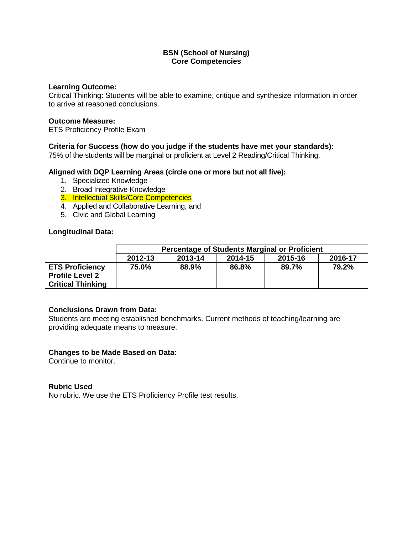### **Learning Outcome:**

Critical Thinking: Students will be able to examine, critique and synthesize information in order to arrive at reasoned conclusions.

### **Outcome Measure:**

ETS Proficiency Profile Exam

# **Criteria for Success (how do you judge if the students have met your standards):**

75% of the students will be marginal or proficient at Level 2 Reading/Critical Thinking.

### **Aligned with DQP Learning Areas (circle one or more but not all five):**

- 1. Specialized Knowledge
- 2. Broad Integrative Knowledge
- 3. Intellectual Skills/Core Competencies
- 4. Applied and Collaborative Learning, and
- 5. Civic and Global Learning

### **Longitudinal Data:**

|                                                                              | <b>Percentage of Students Marginal or Proficient</b> |         |         |         |         |  |  |
|------------------------------------------------------------------------------|------------------------------------------------------|---------|---------|---------|---------|--|--|
|                                                                              | 2012-13                                              | 2013-14 | 2014-15 | 2015-16 | 2016-17 |  |  |
| <b>ETS Proficiency</b><br><b>Profile Level 2</b><br><b>Critical Thinking</b> | 75.0%                                                | 88.9%   | 86.8%   | 89.7%   | 79.2%   |  |  |

### **Conclusions Drawn from Data:**

Students are meeting established benchmarks. Current methods of teaching/learning are providing adequate means to measure.

### **Changes to be Made Based on Data:**

Continue to monitor.

### **Rubric Used**

No rubric. We use the ETS Proficiency Profile test results.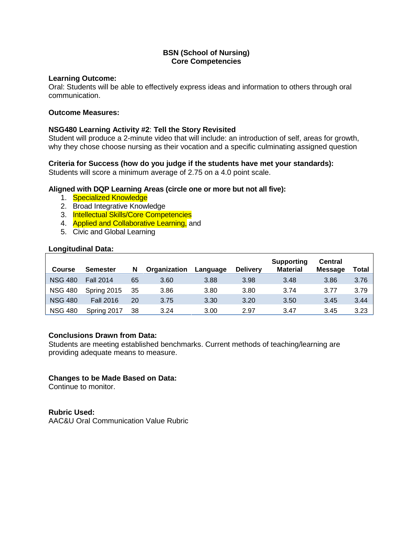### **Learning Outcome:**

Oral: Students will be able to effectively express ideas and information to others through oral communication.

# **Outcome Measures:**

# **NSG480 Learning Activity #2**: **Tell the Story Revisited**

Student will produce a 2-minute video that will include: an introduction of self, areas for growth, why they chose choose nursing as their vocation and a specific culminating assigned question

# **Criteria for Success (how do you judge if the students have met your standards):**

Students will score a minimum average of 2.75 on a 4.0 point scale.

# **Aligned with DQP Learning Areas (circle one or more but not all five):**

- 1. Specialized Knowledge
- 2. Broad Integrative Knowledge
- 3. Intellectual Skills/Core Competencies
- 4. Applied and Collaborative Learning, and
- 5. Civic and Global Learning

### **Longitudinal Data:**

| <b>Course</b>  | <b>Semester</b>  | N  | Organization | Language | <b>Delivery</b> | <b>Supporting</b><br><b>Material</b> | <b>Central</b><br><b>Message</b> | <b>Total</b> |
|----------------|------------------|----|--------------|----------|-----------------|--------------------------------------|----------------------------------|--------------|
| <b>NSG 480</b> | <b>Fall 2014</b> | 65 | 3.60         | 3.88     | 3.98            | 3.48                                 | 3.86                             | 3.76         |
| <b>NSG 480</b> | Spring 2015      | 35 | 3.86         | 3.80     | 3.80            | 3.74                                 | 3.77                             | 3.79         |
| <b>NSG 480</b> | <b>Fall 2016</b> | 20 | 3.75         | 3.30     | 3.20            | 3.50                                 | 3.45                             | 3.44         |
| <b>NSG 480</b> | Spring 2017      | 38 | 3.24         | 3.00     | 2.97            | 3.47                                 | 3.45                             | 3.23         |

# **Conclusions Drawn from Data:**

Students are meeting established benchmarks. Current methods of teaching/learning are providing adequate means to measure.

# **Changes to be Made Based on Data:**

Continue to monitor.

# **Rubric Used:**

AAC&U Oral Communication Value Rubric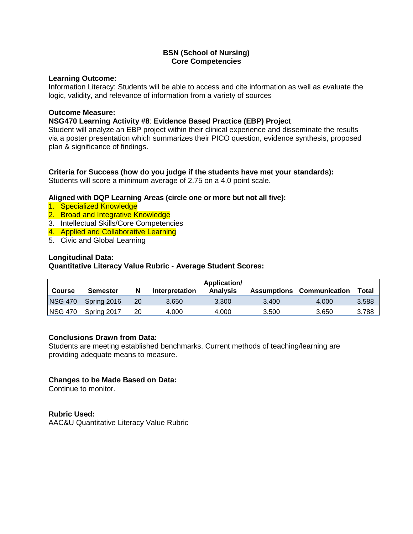### **Learning Outcome:**

Information Literacy: Students will be able to access and cite information as well as evaluate the logic, validity, and relevance of information from a variety of sources

# **Outcome Measure:**

# **NSG470 Learning Activity #8**: **Evidence Based Practice (EBP) Project**

Student will analyze an EBP project within their clinical experience and disseminate the results via a poster presentation which summarizes their PICO question, evidence synthesis, proposed plan & significance of findings.

# **Criteria for Success (how do you judge if the students have met your standards):**

Students will score a minimum average of 2.75 on a 4.0 point scale.

# **Aligned with DQP Learning Areas (circle one or more but not all five):**

- 1. Specialized Knowledge
- 2. Broad and Integrative Knowledge
- 3. Intellectual Skills/Core Competencies
- 4. Applied and Collaborative Learning
- 5. Civic and Global Learning

# **Longitudinal Data:**

# **Quantitative Literacy Value Rubric - Average Student Scores:**

|                |                 |    |                | Application/    |       |                           |       |
|----------------|-----------------|----|----------------|-----------------|-------|---------------------------|-------|
| Course         | <b>Semester</b> | N  | Interpretation | <b>Analysis</b> |       | Assumptions Communication | Total |
| <b>NSG 470</b> | Spring 2016     | 20 | 3.650          | 3.300           | 3.400 | 4.000                     | 3.588 |
| <b>NSG 470</b> | Spring 2017     | 20 | 4.000          | 4.000           | 3.500 | 3.650                     | 3.788 |

### **Conclusions Drawn from Data:**

Students are meeting established benchmarks. Current methods of teaching/learning are providing adequate means to measure.

# **Changes to be Made Based on Data:**

Continue to monitor.

**Rubric Used:** AAC&U Quantitative Literacy Value Rubric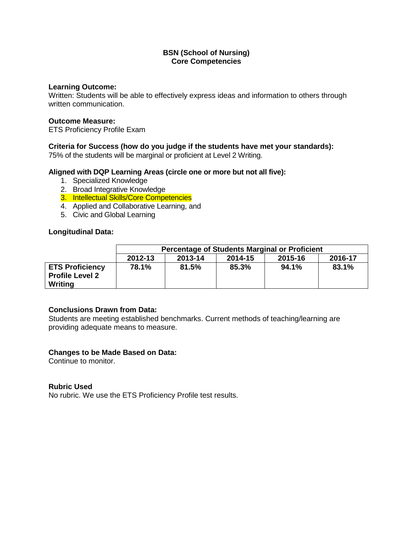### **Learning Outcome:**

Written: Students will be able to effectively express ideas and information to others through written communication.

### **Outcome Measure:**

ETS Proficiency Profile Exam

# **Criteria for Success (how do you judge if the students have met your standards):**

75% of the students will be marginal or proficient at Level 2 Writing.

### **Aligned with DQP Learning Areas (circle one or more but not all five):**

- 1. Specialized Knowledge
- 2. Broad Integrative Knowledge
- 3. Intellectual Skills/Core Competencies
- 4. Applied and Collaborative Learning, and
- 5. Civic and Global Learning

### **Longitudinal Data:**

|                                                             | <b>Percentage of Students Marginal or Proficient</b> |         |         |         |         |  |
|-------------------------------------------------------------|------------------------------------------------------|---------|---------|---------|---------|--|
|                                                             | 2012-13                                              | 2013-14 | 2014-15 | 2015-16 | 2016-17 |  |
| <b>ETS Proficiency</b><br><b>Profile Level 2</b><br>Writing | 78.1%                                                | 81.5%   | 85.3%   | 94.1%   | 83.1%   |  |

### **Conclusions Drawn from Data:**

Students are meeting established benchmarks. Current methods of teaching/learning are providing adequate means to measure.

### **Changes to be Made Based on Data:**

Continue to monitor.

### **Rubric Used**

No rubric. We use the ETS Proficiency Profile test results.